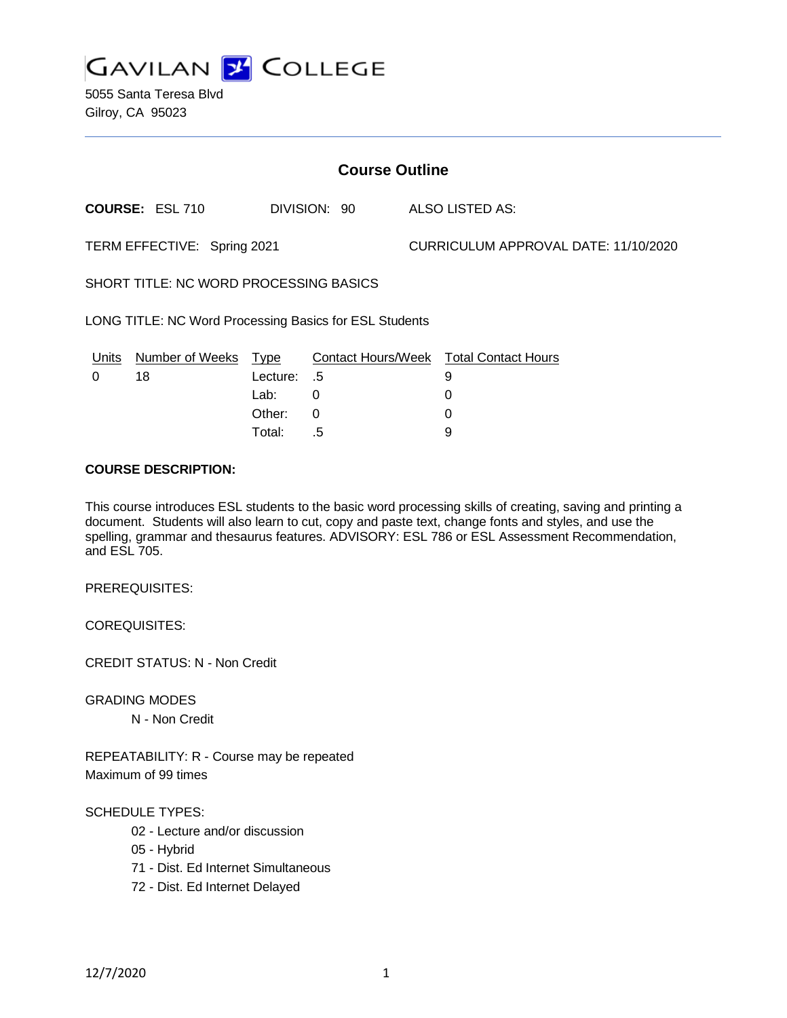

5055 Santa Teresa Blvd Gilroy, CA 95023

| <b>Course Outline</b>                                  |                        |             |              |                                      |                                               |
|--------------------------------------------------------|------------------------|-------------|--------------|--------------------------------------|-----------------------------------------------|
|                                                        | <b>COURSE: ESL 710</b> |             | DIVISION: 90 |                                      | ALSO LISTED AS:                               |
| TERM EFFECTIVE: Spring 2021                            |                        |             |              | CURRICULUM APPROVAL DATE: 11/10/2020 |                                               |
| SHORT TITLE: NC WORD PROCESSING BASICS                 |                        |             |              |                                      |                                               |
| LONG TITLE: NC Word Processing Basics for ESL Students |                        |             |              |                                      |                                               |
| Units                                                  | Number of Weeks Type   |             |              |                                      | <b>Contact Hours/Week Total Contact Hours</b> |
| 0                                                      | 18                     | Lecture: .5 |              |                                      | 9                                             |
|                                                        |                        | Lab:        | 0            |                                      | 0                                             |
|                                                        |                        | Other:      | 0            |                                      | 0                                             |
|                                                        |                        | Total:      | .5           |                                      | 9                                             |

#### **COURSE DESCRIPTION:**

This course introduces ESL students to the basic word processing skills of creating, saving and printing a document. Students will also learn to cut, copy and paste text, change fonts and styles, and use the spelling, grammar and thesaurus features. ADVISORY: ESL 786 or ESL Assessment Recommendation, and ESL 705.

PREREQUISITES:

COREQUISITES:

CREDIT STATUS: N - Non Credit

GRADING MODES

N - Non Credit

REPEATABILITY: R - Course may be repeated Maximum of 99 times

#### SCHEDULE TYPES:

- 02 Lecture and/or discussion
- 05 Hybrid
- 71 Dist. Ed Internet Simultaneous
- 72 Dist. Ed Internet Delayed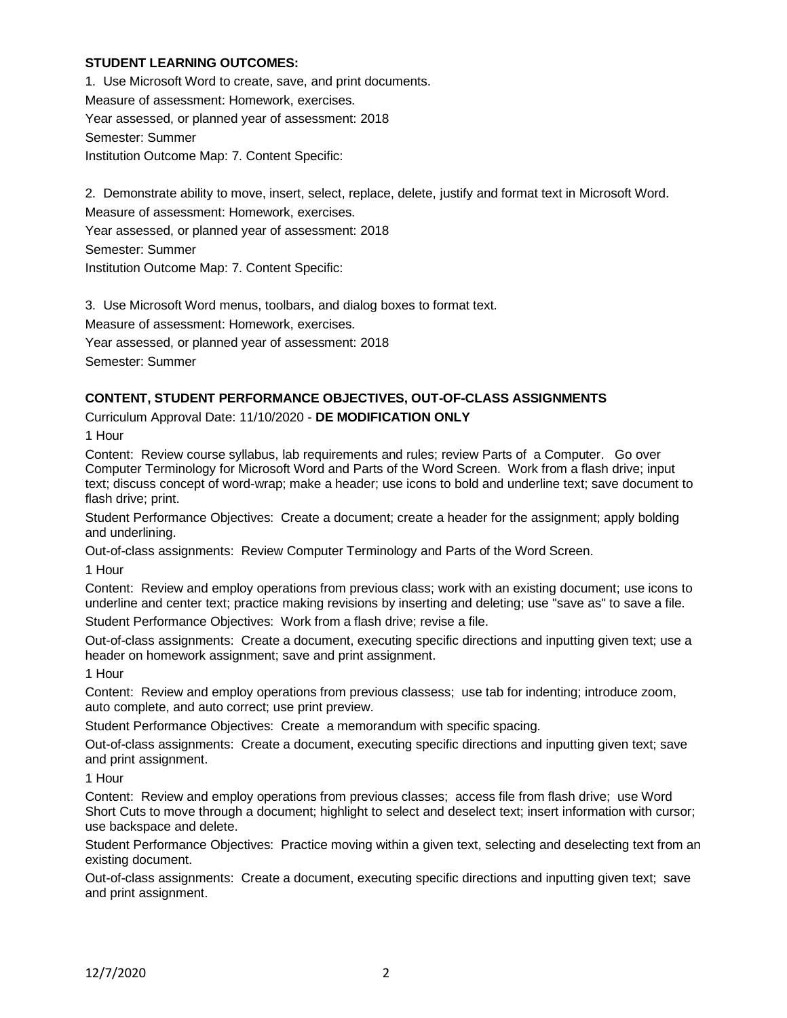### **STUDENT LEARNING OUTCOMES:**

1. Use Microsoft Word to create, save, and print documents. Measure of assessment: Homework, exercises. Year assessed, or planned year of assessment: 2018 Semester: Summer Institution Outcome Map: 7. Content Specific:

2. Demonstrate ability to move, insert, select, replace, delete, justify and format text in Microsoft Word. Measure of assessment: Homework, exercises.

Year assessed, or planned year of assessment: 2018

Semester: Summer

Institution Outcome Map: 7. Content Specific:

3. Use Microsoft Word menus, toolbars, and dialog boxes to format text.

Measure of assessment: Homework, exercises.

Year assessed, or planned year of assessment: 2018

Semester: Summer

### **CONTENT, STUDENT PERFORMANCE OBJECTIVES, OUT-OF-CLASS ASSIGNMENTS**

Curriculum Approval Date: 11/10/2020 - **DE MODIFICATION ONLY**

1 Hour

Content: Review course syllabus, lab requirements and rules; review Parts of a Computer. Go over Computer Terminology for Microsoft Word and Parts of the Word Screen. Work from a flash drive; input text; discuss concept of word-wrap; make a header; use icons to bold and underline text; save document to flash drive; print.

Student Performance Objectives: Create a document; create a header for the assignment; apply bolding and underlining.

Out-of-class assignments: Review Computer Terminology and Parts of the Word Screen.

1 Hour

Content: Review and employ operations from previous class; work with an existing document; use icons to underline and center text; practice making revisions by inserting and deleting; use "save as" to save a file.

Student Performance Objectives: Work from a flash drive; revise a file.

Out-of-class assignments: Create a document, executing specific directions and inputting given text; use a header on homework assignment; save and print assignment.

1 Hour

Content: Review and employ operations from previous classess; use tab for indenting; introduce zoom, auto complete, and auto correct; use print preview.

Student Performance Objectives: Create a memorandum with specific spacing.

Out-of-class assignments: Create a document, executing specific directions and inputting given text; save and print assignment.

1 Hour

Content: Review and employ operations from previous classes; access file from flash drive; use Word Short Cuts to move through a document; highlight to select and deselect text; insert information with cursor; use backspace and delete.

Student Performance Objectives: Practice moving within a given text, selecting and deselecting text from an existing document.

Out-of-class assignments: Create a document, executing specific directions and inputting given text; save and print assignment.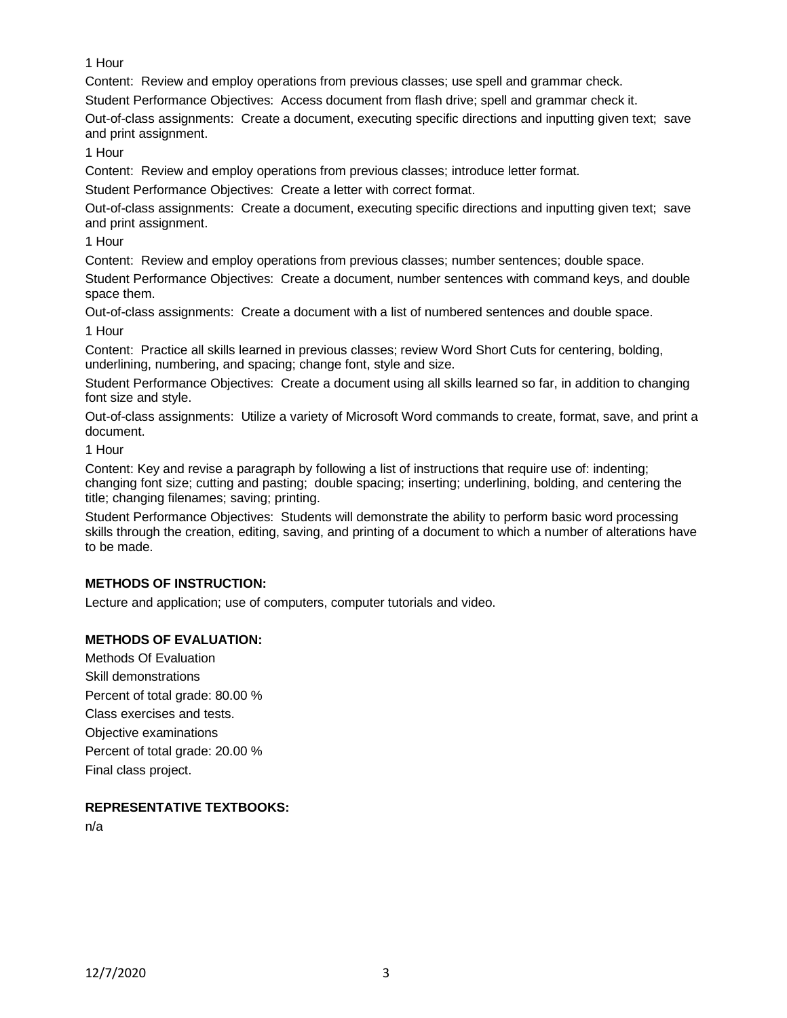1 Hour

Content: Review and employ operations from previous classes; use spell and grammar check.

Student Performance Objectives: Access document from flash drive; spell and grammar check it.

Out-of-class assignments: Create a document, executing specific directions and inputting given text; save and print assignment.

1 Hour

Content: Review and employ operations from previous classes; introduce letter format.

Student Performance Objectives: Create a letter with correct format.

Out-of-class assignments: Create a document, executing specific directions and inputting given text; save and print assignment.

1 Hour

Content: Review and employ operations from previous classes; number sentences; double space.

Student Performance Objectives: Create a document, number sentences with command keys, and double space them.

Out-of-class assignments: Create a document with a list of numbered sentences and double space. 1 Hour

Content: Practice all skills learned in previous classes; review Word Short Cuts for centering, bolding, underlining, numbering, and spacing; change font, style and size.

Student Performance Objectives: Create a document using all skills learned so far, in addition to changing font size and style.

Out-of-class assignments: Utilize a variety of Microsoft Word commands to create, format, save, and print a document.

1 Hour

Content: Key and revise a paragraph by following a list of instructions that require use of: indenting; changing font size; cutting and pasting; double spacing; inserting; underlining, bolding, and centering the title; changing filenames; saving; printing.

Student Performance Objectives: Students will demonstrate the ability to perform basic word processing skills through the creation, editing, saving, and printing of a document to which a number of alterations have to be made.

# **METHODS OF INSTRUCTION:**

Lecture and application; use of computers, computer tutorials and video.

# **METHODS OF EVALUATION:**

Methods Of Evaluation Skill demonstrations Percent of total grade: 80.00 % Class exercises and tests. Objective examinations Percent of total grade: 20.00 % Final class project.

# **REPRESENTATIVE TEXTBOOKS:**

n/a